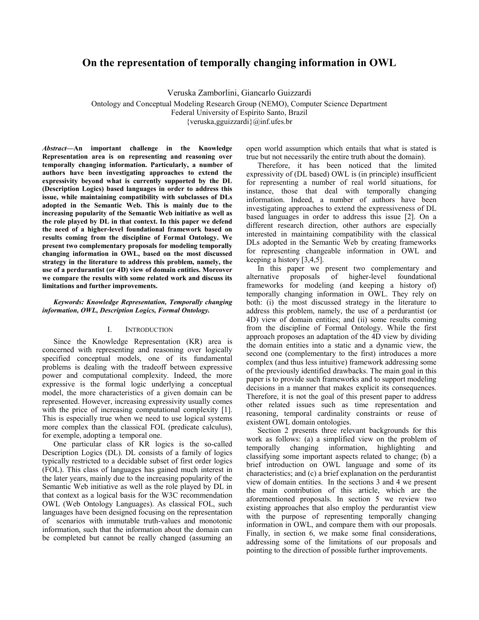# **On the representation of temporally changing information in OWL**

Veruska Zamborlini, Giancarlo Guizzardi

Ontology and Conceptual Modeling Research Group (NEMO), Computer Science Department Federal University of Espírito Santo, Brazil

{veruska,gguizzardi}@inf.ufes.br

*Abstract***—An important challenge in the Knowledge Representation area is on representing and reasoning over temporally changing information. Particularly, a number of authors have been investigating approaches to extend the expressivity beyond what is currently supported by the DL (Description Logics) based languages in order to address this issue, while maintaining compatibility with subclasses of DLs adopted in the Semantic Web. This is mainly due to the increasing popularity of the Semantic Web initiative as well as the role played by DL in that context. In this paper we defend the need of a higher-level foundational framework based on results coming from the discipline of Formal Ontology. We present two complementary proposals for modeling temporally changing information in OWL, based on the most discussed strategy in the literature to address this problem, namely, the use of a perdurantist (or 4D) view of domain entities. Moreover we compare the results with some related work and discuss its limitations and further improvements.** 

## *Keywords: Knowledge Representation, Temporally changing information, OWL, Description Logics, Formal Ontology.*

#### I. INTRODUCTION

Since the Knowledge Representation (KR) area is concerned with representing and reasoning over logically specified conceptual models, one of its fundamental problems is dealing with the tradeoff between expressive power and computational complexity. Indeed, the more expressive is the formal logic underlying a conceptual model, the more characteristics of a given domain can be represented. However, increasing expressivity usually comes with the price of increasing computational complexity [1]. This is especially true when we need to use logical systems more complex than the classical FOL (predicate calculus), for exemple, adopting a temporal one.

One particular class of KR logics is the so-called Description Logics (DL). DL consists of a family of logics typically restricted to a decidable subset of first order logics (FOL). This class of languages has gained much interest in the later years, mainly due to the increasing popularity of the Semantic Web initiative as well as the role played by DL in that context as a logical basis for the W3C recommendation OWL (Web Ontology Languages). As classical FOL, such languages have been designed focusing on the representation of scenarios with immutable truth-values and monotonic information, such that the information about the domain can be completed but cannot be really changed (assuming an

open world assumption which entails that what is stated is true but not necessarily the entire truth about the domain).

Therefore, it has been noticed that the limited expressivity of (DL based) OWL is (in principle) insufficient for representing a number of real world situations, for instance, those that deal with temporally changing information. Indeed, a number of authors have been investigating approaches to extend the expressiveness of DL based languages in order to address this issue [2]. On a different research direction, other authors are especially interested in maintaining compatibility with the classical DLs adopted in the Semantic Web by creating frameworks for representing changeable information in OWL and keeping a history [3,4,5].

In this paper we present two complementary and alternative proposals of higher-level foundational frameworks for modeling (and keeping a history of) temporally changing information in OWL. They rely on both: (i) the most discussed strategy in the literature to address this problem, namely, the use of a perdurantist (or 4D) view of domain entities; and (ii) some results coming from the discipline of Formal Ontology. While the first approach proposes an adaptation of the 4D view by dividing the domain entities into a static and a dynamic view, the second one (complementary to the first) introduces a more complex (and thus less intuitive) framework addressing some of the previously identified drawbacks. The main goal in this paper is to provide such frameworks and to support modeling decisions in a manner that makes explicit its consequences. Therefore, it is not the goal of this present paper to address other related issues such as time representation and reasoning, temporal cardinality constraints or reuse of existent OWL domain ontologies.

Section 2 presents three relevant backgrounds for this work as follows: (a) a simplified view on the problem of temporally changing information, highlighting and classifying some important aspects related to change; (b) a brief introduction on OWL language and some of its characteristics; and (c) a brief explanation on the perdurantist view of domain entities. In the sections 3 and 4 we present the main contribution of this article, which are the aforementioned proposals. In section 5 we review two existing approaches that also employ the perdurantist view with the purpose of representing temporally changing information in OWL, and compare them with our proposals. Finally, in section 6, we make some final considerations, addressing some of the limitations of our proposals and pointing to the direction of possible further improvements.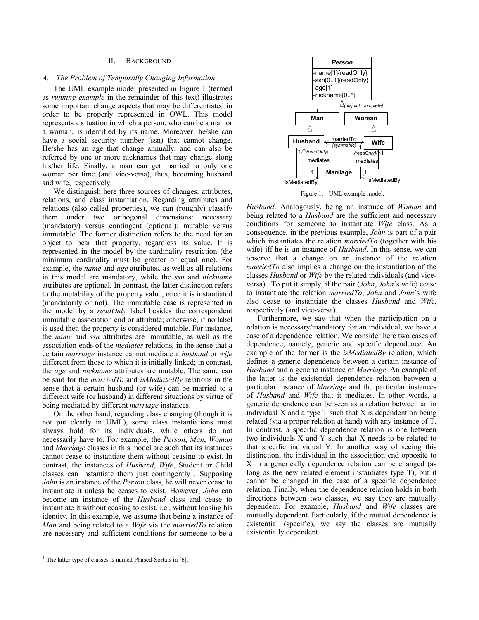## II. BACKGROUND

#### *A. The Problem of Temporally Changing Information*

The UML example model presented in Figure 1 (termed as *running example* in the remainder of this text) illustrates some important change aspects that may be differentiated in order to be properly represented in OWL. This model represents a situation in which a person, who can be a man or a woman, is identified by its name. Moreover, he/she can have a social security number (ssn) that cannot change. He/she has an age that change annually, and can also be referred by one or more nicknames that may change along his/her life. Finally, a man can get married to only one woman per time (and vice-versa), thus, becoming husband and wife, respectively.

We distinguish here three sources of changes: attributes, relations, and class instantiation. Regarding attributes and relations (also called properties), we can (roughly) classify them under two orthogonal dimensions: necessary (mandatory) versus contingent (optional); mutable versus immutable. The former distinction refers to the need for an object to bear that property, regardless its value. It is represented in the model by the cardinality restriction (the minimum cardinality must be greater or equal one). For example, the *name* and *age* attributes, as well as all relations in this model are mandatory, while the *ssn* and *nickname* attributes are optional. In contrast, the latter distinction refers to the mutability of the property value, once it is instantiated (mandatorily or not). The immutable case is represented in the model by a *readOnly* label besides the correspondent immutable association end or attribute; otherwise, if no label is used then the property is considered mutable. For instance, the *name* and *ssn* attributes are immutable, as well as the association ends of the *mediates* relations, in the sense that a certain *marriage* instance cannot mediate a *husband* or *wife* different from those to which it is initially linked; in contrast, the *age* and *nickname* attributes are mutable. The same can be said for the *marriedTo* and *isMediatedBy* relations in the sense that a certain husband (or wife) can be married to a different wife (or husband) in different situations by virtue of being mediated by different *marriage* instances.

On the other hand, regarding class changing (though it is not put clearly in UML), some class instantiations must always hold for its individuals, while others do not necessarily have to. For example, the *Person*, *Man*, *Woman* and *Marriage* classes in this model are such that its instances cannot cease to instantiate them without ceasing to exist. In contrast, the instances of *Husband*, *Wife*, Student or Child classes can instantiate them just contingently<sup>1</sup>. Supposing *John* is an instance of the *Person* class, he will never cease to instantiate it unless he ceases to exist. However, *John* can become an instance of the *Husband* class and cease to instantiate it without ceasing to exist, i.e., without loosing his identity. In this example, we assume that being a instance of *Man* and being related to a *Wife* via the *marriedTo* relation are necessary and sufficient conditions for someone to be a





Figure 1. UML example model.

*Husband*. Analogously, being an instance of *Woman* and being related to a *Husband* are the sufficient and necessary conditions for someone to instantiate *Wife* class. As a consequence, in the previous example, *John* is part of a pair which instantiates the relation *marriedTo* (together with his wife) iff he is an instance of *Husband*. In this sense, we can observe that a change on an instance of the relation *marriedTo* also implies a change on the instantiation of the classes *Husband* or *Wife* by the related individuals (and viceversa). To put it simply, if the pair 〈*John*, *John*´s wife〉 cease to instantiate the relation *marriedTo*, *John* and *John*´s wife also cease to instantiate the classes *Husband* and *Wife*, respectively (and vice-versa).

Furthermore, we say that when the participation on a relation is necessary/mandatory for an individual, we have a case of a dependence relation. We consider here two cases of dependence, namely, generic and specific dependence. An example of the former is the *isMediatedBy* relation, which defines a generic dependence between a certain instance of *Husband* and a generic instance of *Marriage*. An example of the latter is the existential dependence relation between a particular instance of *Marriage* and the particular instances of *Husband* and *Wife* that it mediates. In other words, a generic dependence can be seen as a relation between an in individual  $X$  and a type  $T$  such that  $X$  is dependent on being related (via a proper relation at hand) with any instance of T. In contrast, a specific dependence relation is one between two individuals X and Y such that X needs to be related to that specific individual Y. In another way of seeing this distinction, the individual in the association end opposite to X in a generically dependence relation can be changed (as long as the new related element instantiates type T), but it cannot be changed in the case of a specific dependence relation. Finally, when the dependence relation holds in both directions between two classes, we say they are mutually dependent. For example, *Husband* and *Wife* classes are mutually dependent. Particularly, if the mutual dependence is existential (specific), we say the classes are mutually existentially dependent.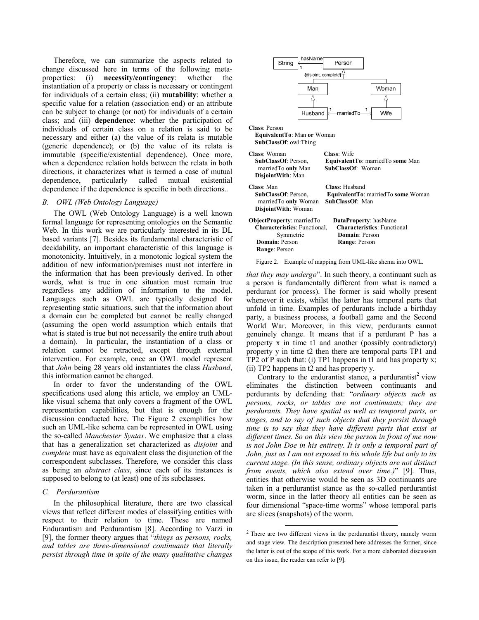Therefore, we can summarize the aspects related to change discussed here in terms of the following metaproperties: (i) **necessity/contingency**: whether the instantiation of a property or class is necessary or contingent for individuals of a certain class; (ii) **mutability**: whether a specific value for a relation (association end) or an attribute can be subject to change (or not) for individuals of a certain class; and (iii) **dependence**: whether the participation of individuals of certain class on a relation is said to be necessary and either (a) the value of its relata is mutable (generic dependence); or (b) the value of its relata is immutable (specific/existential dependence). Once more, when a dependence relation holds between the relata in both directions, it characterizes what is termed a case of mutual dependence, particularly called mutual existential dependence if the dependence is specific in both directions..

## *B. OWL (Web Ontology Language)*

The OWL (Web Ontology Language) is a well known formal language for representing ontologies on the Semantic Web. In this work we are particularly interested in its DL based variants [7]. Besides its fundamental characteristic of decidability, an important characteristic of this language is monotonicity. Intuitively, in a monotonic logical system the addition of new information/premises must not interfere in the information that has been previously derived. In other words, what is true in one situation must remain true regardless any addition of information to the model. Languages such as OWL are typically designed for representing static situations, such that the information about a domain can be completed but cannot be really changed (assuming the open world assumption which entails that what is stated is true but not necessarily the entire truth about a domain). In particular, the instantiation of a class or relation cannot be retracted, except through external intervention. For example, once an OWL model represent that *John* being 28 years old instantiates the class *Husband*, this information cannot be changed.

In order to favor the understanding of the OWL specifications used along this article, we employ an UMLlike visual schema that only covers a fragment of the OWL representation capabilities, but that is enough for the discussion conducted here. The Figure 2 exemplifies how such an UML-like schema can be represented in OWL using the so-called *Manchester Syntax*. We emphasize that a class that has a generalization set characterized as *disjoint* and *complete* must have as equivalent class the disjunction of the correspondent subclasses. Therefore, we consider this class as being an *abstract class*, since each of its instances is supposed to belong to (at least) one of its subclasses.

## *C. Perdurantism*

In the philosophical literature, there are two classical views that reflect different modes of classifying entities with respect to their relation to time. These are named Endurantism and Perdurantism [8]. According to Varzi in [9], the former theory argues that "*things as persons, rocks, and tables are three-dimensional continuants that literally persist through time in spite of the many qualitative changes* 



| SubClassOf: Person,<br>marriedTo only Man           | EquivalentTo: marriedTo some Man<br>SubClassOf: Woman |
|-----------------------------------------------------|-------------------------------------------------------|
| DisjointWith: Man                                   |                                                       |
| Class: Man                                          | Class: Husband                                        |
| <b>SubClassOf: Person.</b><br>married To only Woman | EquivalentTo: marriedTo some Woman<br>SubClassOf: Man |
| DisjointWith: Woman                                 |                                                       |
| <b>ObjectProperty:</b> marriedTo                    | <b>DataProperty:</b> hasName                          |
| <b>Characteristics</b> : Functional,                | <b>Characteristics:</b> Functional                    |
| Symmetric                                           | <b>Domain: Person</b>                                 |
| Domain: Person                                      | Range: Person                                         |
| Range: Person                                       |                                                       |

Figure 2. Example of mapping from UML-like shema into OWL.

*that they may undergo*". In such theory, a continuant such as a person is fundamentally different from what is named a perdurant (or process). The former is said wholly present whenever it exists, whilst the latter has temporal parts that unfold in time. Examples of perdurants include a birthday party, a business process, a football game and the Second World War. Moreover, in this view, perdurants cannot genuinely change. It means that if a perdurant P has a property x in time t1 and another (possibly contradictory) property y in time t2 then there are temporal parts TP1 and TP2 of P such that: (i) TP1 happens in t1 and has property  $x$ ; (ii) TP2 happens in t2 and has property y.

Contrary to the endurantist stance, a perdurantist<sup>2</sup> view eliminates the distinction between continuants and perdurants by defending that: "*ordinary objects such as persons, rocks, or tables are not continuants; they are perdurants. They have spatial as well as temporal parts, or stages, and to say of such objects that they persist through time is to say that they have different parts that exist at different times. So on this view the person in front of me now is not John Doe in his entirety. It is only a temporal part of John, just as I am not exposed to his whole life but only to its current stage. (In this sense, ordinary objects are not distinct from events, which also extend over time.)*" [9]. Thus, entities that otherwise would be seen as 3D continuants are taken in a perdurantist stance as the so-called perdurantist worm, since in the latter theory all entities can be seen as four dimensional "space-time worms" whose temporal parts are slices (snapshots) of the worm.

<sup>&</sup>lt;sup>2</sup> There are two different views in the perdurantist theory, namely worm and stage view. The description presented here addresses the former, since the latter is out of the scope of this work. For a more elaborated discussion on this issue, the reader can refer to [9].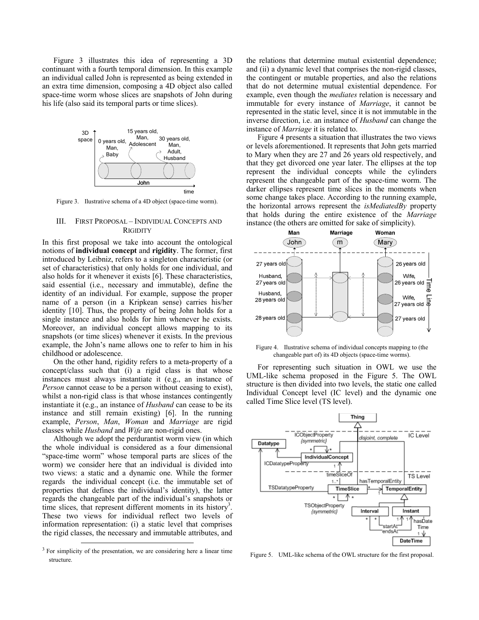Figure 3 illustrates this idea of representing a 3D continuant with a fourth temporal dimension. In this example an individual called John is represented as being extended in an extra time dimension, composing a 4D object also called space-time worm whose slices are snapshots of John during his life (also said its temporal parts or time slices).



Figure 3. Ilustrative schema of a 4D object (space-time worm).

## III. FIRST PROPOSAL – INDIVIDUAL CONCEPTS AND **RIGIDITY**

In this first proposal we take into account the ontological notions of **individual concept** and **rigidity**. The former, first introduced by Leibniz, refers to a singleton characteristic (or set of characteristics) that only holds for one individual, and also holds for it whenever it exists [6]. These characteristics, said essential (i.e., necessary and immutable), define the identity of an individual. For example, suppose the proper name of a person (in a Kripkean sense) carries his/her identity [10]. Thus, the property of being John holds for a single instance and also holds for him whenever he exists. Moreover, an individual concept allows mapping to its snapshots (or time slices) whenever it exists. In the previous example, the John's name allows one to refer to him in his childhood or adolescence.

On the other hand, rigidity refers to a meta-property of a concept/class such that (i) a rigid class is that whose instances must always instantiate it (e.g., an instance of *Person* cannot cease to be a person without ceasing to exist), whilst a non-rigid class is that whose instances contingently instantiate it (e.g., an instance of *Husband* can cease to be its instance and still remain existing) [6]. In the running example, *Person*, *Man*, *Woman* and *Marriage* are rigid classes while *Husband* and *Wife* are non-rigid ones.

Although we adopt the perdurantist worm view (in which the whole individual is considered as a four dimensional "space-time worm" whose temporal parts are slices of the worm) we consider here that an individual is divided into two views: a static and a dynamic one. While the former regards the individual concept (i.e. the immutable set of properties that defines the individual's identity), the latter regards the changeable part of the individual's snapshots or time slices, that represent different moments in its history<sup>3</sup>. These two views for individual reflect two levels of information representation: (i) a static level that comprises the rigid classes, the necessary and immutable attributes, and



the relations that determine mutual existential dependence; and (ii) a dynamic level that comprises the non-rigid classes, the contingent or mutable properties, and also the relations that do not determine mutual existential dependence. For example, even though the *mediates* relation is necessary and immutable for every instance of *Marriage*, it cannot be represented in the static level, since it is not immutable in the inverse direction, i.e. an instance of *Husband* can change the instance of *Marriage* it is related to.

Figure 4 presents a situation that illustrates the two views or levels aforementioned. It represents that John gets married to Mary when they are 27 and 26 years old respectively, and that they get divorced one year later. The ellipses at the top represent the individual concepts while the cylinders represent the changeable part of the space-time worm. The darker ellipses represent time slices in the moments when some change takes place. According to the running example, the horizontal arrows represent the *isMediatedBy* property that holds during the entire existence of the *Marriage* instance (the others are omitted for sake of simplicity).



Figure 4. Ilustrative schema of individual concepts mapping to (the changeable part of) its 4D objects (space-time worms).

For representing such situation in OWL we use the UML-like schema proposed in the Figure 5. The OWL structure is then divided into two levels, the static one called Individual Concept level (IC level) and the dynamic one called Time Slice level (TS level).



Figure 5. UML-like schema of the OWL structure for the first proposal.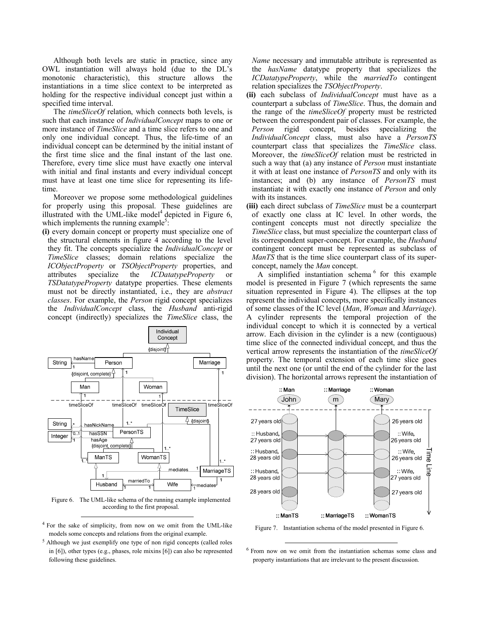Although both levels are static in practice, since any OWL instantiation will always hold (due to the DL's monotonic characteristic), this structure allows the instantiations in a time slice context to be interpreted as holding for the respective individual concept just within a specified time interval.

The *timeSliceOf* relation, which connects both levels, is such that each instance of *IndividualConcept* maps to one or more instance of *TimeSlice* and a time slice refers to one and only one individual concept. Thus, the life-time of an individual concept can be determined by the initial instant of the first time slice and the final instant of the last one. Therefore, every time slice must have exactly one interval with initial and final instants and every individual concept must have at least one time slice for representing its lifetime.

Moreover we propose some methodological guidelines for properly using this proposal. These guidelines are illustrated with the UML-like model<sup>4</sup> depicted in Figure  $6$ , which implements the running example<sup>5</sup>:

**(i)** every domain concept or property must specialize one of the structural elements in figure 4 according to the level they fit. The concepts specialize the *IndividualConcept* or *TimeSlice* classes; domain relations specialize the *ICObjectProperty* or *TSObjectProperty* properties, and attributes specialize the *ICDatatypeProperty* or *TSDatatypeProperty* datatype properties. These elements must not be directly instantiated, i.e., they are *abstract classes*. For example, the *Person* rigid concept specializes the *IndividualConcept* class, the *Husband* anti-rigid concept (indirectly) specializes the *TimeSlice* class, the



Figure 6. The UML-like schema of the running example implemented according to the first proposal.

 4 For the sake of simplicity, from now on we omit from the UML-like models some concepts and relations from the original example.

<sup>5</sup> Although we just exemplify one type of non rigid concepts (called roles in [6]), other types (e.g., phases, role mixins [6]) can also be represented following these guidelines.

*Name* necessary and immutable attribute is represented as the *hasName* datatype property that specializes the *ICDatatypeProperty*, while the *marriedTo* contingent relation specializes the *TSObjectProperty*.

- **(ii)** each subclass of *IndividualConcept* must have as a counterpart a subclass of *TimeSlice*. Thus, the domain and the range of the *timeSliceOf* property must be restricted between the correspondent pair of classes. For example, the *Person* rigid concept, besides specializing the *Person* rigid concept, besides specializing the *IndividualConcept* class, must also have a *PersonTS* counterpart class that specializes the *TimeSlice* class. Moreover, the *timeSliceOf* relation must be restricted in such a way that (a) any instance of *Person* must instantiate it with at least one instance of *PersonTS* and only with its instances; and (b) any instance of *PersonTS* must instantiate it with exactly one instance of *Person* and only with its instances.
- **(iii)** each direct subclass of *TimeSlice* must be a counterpart of exactly one class at IC level. In other words, the contingent concepts must not directly specialize the *TimeSlice* class, but must specialize the counterpart class of its correspondent super-concept. For example, the *Husband* contingent concept must be represented as subclass of *ManTS* that is the time slice counterpart class of its superconcept, namely the *Man* concept.

A simplified instantiation schema <sup>6</sup> for this example model is presented in Figure 7 (which represents the same situation represented in Figure 4). The ellipses at the top represent the individual concepts, more specifically instances of some classes of the IC level (*Man*, *Woman* and *Marriage*). A cylinder represents the temporal projection of the individual concept to which it is connected by a vertical arrow. Each division in the cylinder is a new (contiguous) time slice of the connected individual concept, and thus the vertical arrow represents the instantiation of the *timeSliceOf* property. The temporal extension of each time slice goes until the next one (or until the end of the cylinder for the last division). The horizontal arrows represent the instantiation of



Figure 7. Instantiation schema of the model presented in Figure 6.

 6 From now on we omit from the instantiation schemas some class and property instantiations that are irrelevant to the present discussion.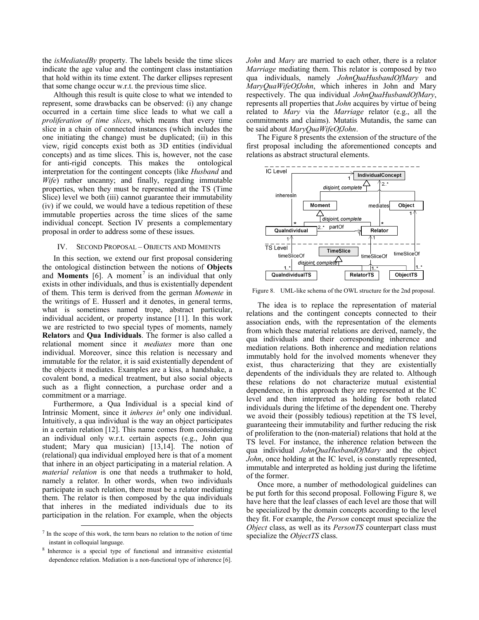the *isMediatedBy* property. The labels beside the time slices indicate the age value and the contingent class instantiation that hold within its time extent. The darker ellipses represent that some change occur w.r.t. the previous time slice.

Although this result is quite close to what we intended to represent, some drawbacks can be observed: (i) any change occurred in a certain time slice leads to what we call a *proliferation of time slices*, which means that every time slice in a chain of connected instances (which includes the one initiating the change) must be duplicated; (ii) in this view, rigid concepts exist both as 3D entities (individual concepts) and as time slices. This is, however, not the case for anti-rigid concepts. This makes the ontological interpretation for the contingent concepts (like *Husband* and *Wife*) rather uncanny; and finally, regarding immutable properties, when they must be represented at the TS (Time Slice) level we both (iii) cannot guarantee their immutability (iv) if we could, we would have a tedious repetition of these immutable properties across the time slices of the same individual concept. Section IV presents a complementary proposal in order to address some of these issues.

#### IV. SECOND PROPOSAL – OBJECTS AND MOMENTS

In this section, we extend our first proposal considering the ontological distinction between the notions of **Objects** and **Moments** [6]. A moment<sup>7</sup> is an individual that only exists in other individuals, and thus is existentially dependent of them. This term is derived from the german *Momente* in the writings of E. Husserl and it denotes, in general terms, what is sometimes named trope, abstract particular, individual accident, or property instance [11]. In this work we are restricted to two special types of moments, namely **Relators** and **Qua Individuals**. The former is also called a relational moment since it *mediates* more than one individual. Moreover, since this relation is necessary and immutable for the relator, it is said existentially dependent of the objects it mediates. Examples are a kiss, a handshake, a covalent bond, a medical treatment, but also social objects such as a flight connection, a purchase order and a commitment or a marriage.

Furthermore, a Qua Individual is a special kind of Intrinsic Moment, since it *inheres in8* only one individual. Intuitively, a qua individual is the way an object participates in a certain relation [12]. This name comes from considering an individual only w.r.t. certain aspects (e.g., John qua student; Mary qua musician) [13,14]. The notion of (relational) qua individual employed here is that of a moment that inhere in an object participating in a material relation. A *material relation* is one that needs a truthmaker to hold, namely a relator. In other words, when two individuals participate in such relation, there must be a relator mediating them. The relator is then composed by the qua individuals that inheres in the mediated individuals due to its participation in the relation. For example, when the objects

*John* and *Mary* are married to each other, there is a relator *Marriage* mediating them. This relator is composed by two qua individuals, namely *JohnQuaHusbandOfMary* and *MaryQuaWifeOfJohn*, which inheres in John and Mary respectively. The qua individual *JohnQuaHusbandOfMary*, represents all properties that *John* acquires by virtue of being related to *Mary* via the *Marriage* relator (e.g., all the commitments and claims). Mutatis Mutandis, the same can be said about *MaryQuaWifeOfJohn*.

The Figure 8 presents the extension of the structure of the first proposal including the aforementioned concepts and relations as abstract structural elements.



Figure 8. UML-like schema of the OWL structure for the 2nd proposal.

The idea is to replace the representation of material relations and the contingent concepts connected to their association ends, with the representation of the elements from which these material relations are derived, namely, the qua individuals and their corresponding inherence and mediation relations. Both inherence and mediation relations immutably hold for the involved moments whenever they exist, thus characterizing that they are existentially dependents of the individuals they are related to. Although these relations do not characterize mutual existential dependence, in this approach they are represented at the IC level and then interpreted as holding for both related individuals during the lifetime of the dependent one. Thereby we avoid their (possibly tedious) repetition at the TS level, guaranteeing their immutability and further reducing the risk of proliferation to the (non-material) relations that hold at the TS level. For instance, the inherence relation between the qua individual *JohnQuaHusbandOfMary* and the object *John*, once holding at the IC level, is constantly represented, immutable and interpreted as holding just during the lifetime of the former.

Once more, a number of methodological guidelines can be put forth for this second proposal. Following Figure 8, we have here that the leaf classes of each level are those that will be specialized by the domain concepts according to the level they fit. For example, the *Person* concept must specialize the *Object* class, as well as its *PersonTS* counterpart class must specialize the *ObjectTS* class.

 $<sup>7</sup>$  In the scope of this work, the term bears no relation to the notion of time</sup> instant in colloquial language.

<sup>8</sup> Inherence is a special type of functional and intransitive existential dependence relation. Mediation is a non-functional type of inherence [6].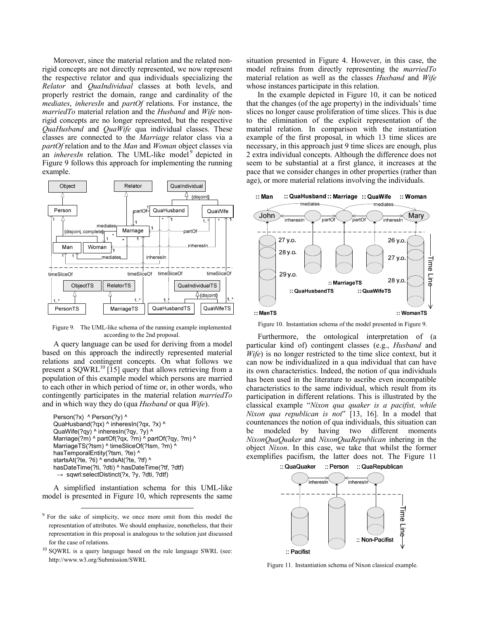Moreover, since the material relation and the related nonrigid concepts are not directly represented, we now represent the respective relator and qua individuals specializing the *Relator* and *QuaIndividual* classes at both levels, and properly restrict the domain, range and cardinality of the *mediates*, *inheresIn* and *partOf* relations. For instance, the *marriedTo* material relation and the *Husband* and *Wife* nonrigid concepts are no longer represented, but the respective *QuaHusband* and *QuaWife* qua individual classes. These classes are connected to the *Marriage* relator class via a *partOf* relation and to the *Man* and *Woman* object classes via an *inheresIn* relation. The UML-like model<sup>9</sup> depicted in Figure 9 follows this approach for implementing the running example.



Figure 9. The UML-like schema of the running example implemented according to the 2nd proposal.

A query language can be used for deriving from a model based on this approach the indirectly represented material relations and contingent concepts. On what follows we present a SQWRL<sup>10</sup> [15] query that allows retrieving from a population of this example model which persons are married to each other in which period of time or, in other words, who contingently participates in the material relation *marriedTo* and in which way they do (qua *Husband* or qua *Wife*).

```
Person(?x) ^ Person(?y) ^
QuaHusband(?qx) ^ inheresIn(?qx, ?x) ^ 
QuaWife(?qy) ^ inheresIn(?qy, ?y) ^ 
Marriage(?m) ^ partOf(?qx, ?m) ^ partOf(?qy, ?m) ^
MarriageTS(?tsm) ^ timeSliceOf(?tsm, ?m) \overline{'}hasTemporalEntity(?tsm, ?te) ^
startsAt(?te, ?ti) ^ endsAt(?te, ?tf) ^
hasDateTime(?ti, ?dti) ^ hasDateTime(?tf, ?dtf) 
 \rightarrow sqwrl:selectDistinct(?x, ?y, ?dti, ?dtf)
```
A simplified instantiation schema for this UML-like model is presented in Figure 10, which represents the same situation presented in Figure 4. However, in this case, the model refrains from directly representing the *marriedTo* material relation as well as the classes *Husband* and *Wife* whose instances participate in this relation.

In the example depicted in Figure 10, it can be noticed that the changes (of the age property) in the individuals' time slices no longer cause proliferation of time slices. This is due to the elimination of the explicit representation of the material relation. In comparison with the instantiation example of the first proposal, in which 13 time slices are necessary, in this approach just 9 time slices are enough, plus 2 extra individual concepts. Although the difference does not seem to be substantial at a first glance, it increases at the pace that we consider changes in other properties (rather than age), or more material relations involving the individuals.





Figure 10. Instantiation schema of the model presented in Figure 9.

Furthermore, the ontological interpretation of (a particular kind of) contingent classes (e.g., *Husband* and *Wife*) is no longer restricted to the time slice context, but it can now be individualized in a qua individual that can have its own characteristics. Indeed, the notion of qua individuals has been used in the literature to ascribe even incompatible characteristics to the same individual, which result from its participation in different relations. This is illustrated by the classical example "*Nixon qua quaker is a pacifist, while Nixon qua republican is not*" [13, 16]. In a model that countenances the notion of qua individuals, this situation can be modeled by having two different moments *NixonQuaQuaker* and *NixonQuaRepublican* inhering in the object *Nixon*. In this case, we take that whilst the former exemplifies pacifism, the latter does not. The Figure 11



Figure 11. Instantiation schema of Nixon classical example.

<sup>&</sup>lt;sup>9</sup> For the sake of simplicity, we once more omit from this model the representation of attributes. We should emphasize, nonetheless, that their representation in this proposal is analogous to the solution just discussed for the case of relations.

<sup>10</sup> SQWRL is a query language based on the rule language SWRL (see: http://www.w3.org/Submission/SWRL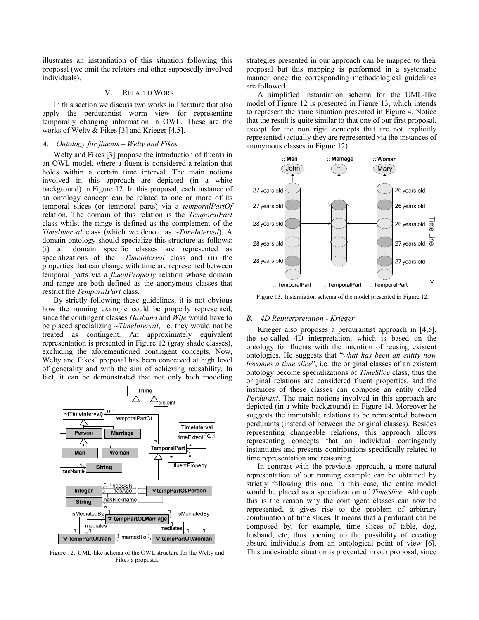illustrates an instantiation of this situation following this proposal (we omit the relators and other supposedly involved individuals).

## V. RELATED WORK

In this section we discuss two works in literature that also apply the perdurantist worm view for representing temporally changing information in OWL. These are the works of Welty & Fikes [3] and Krieger [4,5].

## *A. Ontology for fluents – Welty and Fikes*

Welty and Fikes [3] propose the introduction of fluents in an OWL model, where a fluent is considered a relation that holds within a certain time interval. The main notions involved in this approach are depicted (in a white background) in Figure 12. In this proposal, each instance of an ontology concept can be related to one or more of its temporal slices (or temporal parts) via a *temporalPartOf* relation. The domain of this relation is the *TemporalPart* class whilst the range is defined as the complement of the *TimeInterval* class (which we denote as ~*TimeInterval*). A domain ontology should specialize this structure as follows: (i) all domain specific classes are represented as specializations of the ~*TimeInterval* class and (ii) the properties that can change with time are represented between temporal parts via a *fluentProperty* relation whose domain and range are both defined as the anonymous classes that restrict the *TemporalPart* class.

By strictly following these guidelines, it is not obvious how the running example could be properly represented, since the contingent classes *Husband* and *Wife* would have to be placed specializing ~*TimeInterval*, i.e. they would not be treated as contingent. An approximately equivalent representation is presented in Figure 12 (gray shade classes), excluding the aforementioned contingent concepts. Now, Welty and Fikes´ proposal has been conceived at high level of generality and with the aim of achieving reusability. In fact, it can be demonstrated that not only both modeling



Fikes's proposal.

strategies presented in our approach can be mapped to their proposal but this mapping is performed in a systematic manner once the corresponding methodological guidelines are followed.

A simplified instantiation schema for the UML-like model of Figure 12 is presented in Figure 13, which intends to represent the same situation presented in Figure 4. Notice that the result is quite similar to that one of our first proposal, except for the non rigid concepts that are not explicitly represented (actually they are represented via the instances of anonymous classes in Figure 12).



Figure 13. Instantiation schema of the model presented in Figure 12.

## *B. 4D Reinterpretation - Krieger*

Krieger also proposes a perdurantist approach in [4,5], the so-called 4D interpretation, which is based on the ontology for fluents with the intention of reusing existent ontologies. He suggests that "*what has been an entity now becomes a time slice*", i.e. the original classes of an existent ontology become specializations of *TimeSlice* class, thus the original relations are considered fluent properties, and the instances of these classes can compose an entity called *Perdurant*. The main notions involved in this approach are depicted (in a white background) in Figure 14. Moreover he suggests the immutable relations to be represented between perdurants (instead of between the original classes). Besides representing changeable relations, this approach allows representing concepts that an individual contingently instantiates and presents contributions specifically related to time representation and reasoning.

In contrast with the previous approach, a more natural representation of our running example can be obtained by strictly following this one. In this case, the entire model would be placed as a specialization of *TimeSlice*. Although this is the reason why the contingent classes can now be represented, it gives rise to the problem of arbitrary combination of time slices. It means that a perdurant can be composed by, for example, time slices of table, dog, husband, etc, thus opening up the possibility of creating absurd individuals from an ontological point of view [6]. Figure 12. UML-like schema of the OWL structure for the Welty and This undesirable situation is prevented in our proposal, since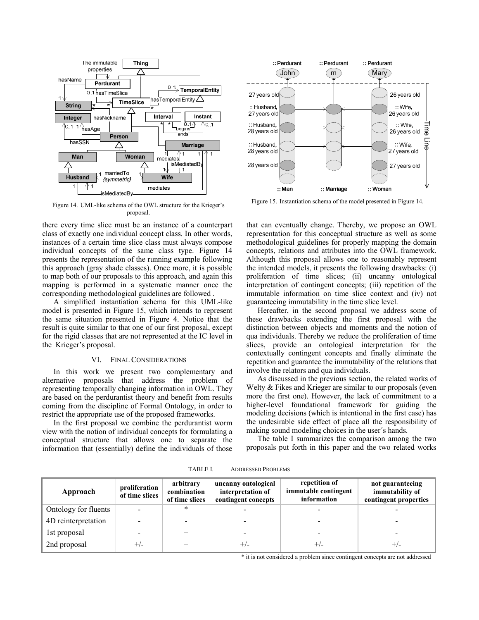

Figure 14. UML-like schema of the OWL structure for the Krieger's proposal.

there every time slice must be an instance of a counterpart class of exactly one individual concept class. In other words, instances of a certain time slice class must always compose individual concepts of the same class type. Figure 14 presents the representation of the running example following this approach (gray shade classes). Once more, it is possible to map both of our proposals to this approach, and again this mapping is performed in a systematic manner once the corresponding methodological guidelines are followed .

A simplified instantiation schema for this UML-like model is presented in Figure 15, which intends to represent the same situation presented in Figure 4. Notice that the result is quite similar to that one of our first proposal, except for the rigid classes that are not represented at the IC level in the Krieger's proposal.

#### VI. FINAL CONSIDERATIONS

In this work we present two complementary and alternative proposals that address the problem of representing temporally changing information in OWL. They are based on the perdurantist theory and benefit from results coming from the discipline of Formal Ontology, in order to restrict the appropriate use of the proposed frameworks.

In the first proposal we combine the perdurantist worm view with the notion of individual concepts for formulating a conceptual structure that allows one to separate the information that (essentially) define the individuals of those



Figure 15. Instantiation schema of the model presented in Figure 14.

that can eventually change. Thereby, we propose an OWL representation for this conceptual structure as well as some methodological guidelines for properly mapping the domain concepts, relations and attributes into the OWL framework. Although this proposal allows one to reasonably represent the intended models, it presents the following drawbacks: (i) proliferation of time slices; (ii) uncanny ontological interpretation of contingent concepts; (iii) repetition of the immutable information on time slice context and (iv) not guaranteeing immutability in the time slice level.

Hereafter, in the second proposal we address some of these drawbacks extending the first proposal with the distinction between objects and moments and the notion of qua individuals. Thereby we reduce the proliferation of time slices, provide an ontological interpretation for the contextually contingent concepts and finally eliminate the repetition and guarantee the immutability of the relations that involve the relators and qua individuals.

As discussed in the previous section, the related works of Welty & Fikes and Krieger are similar to our proposals (even more the first one). However, the lack of commitment to a higher-level foundational framework for guiding the modeling decisions (which is intentional in the first case) has the undesirable side effect of place all the responsibility of making sound modeling choices in the user´s hands.

The table I summarizes the comparison among the two proposals put forth in this paper and the two related works

| Approach             | proliferation<br>of time slices | arbitrary<br>combination<br>of time slices | uncanny ontological<br>interpretation of<br>contingent concepts | repetition of<br>immutable contingent<br>information | not guaranteeing<br>immutability of<br>contingent properties |
|----------------------|---------------------------------|--------------------------------------------|-----------------------------------------------------------------|------------------------------------------------------|--------------------------------------------------------------|
| Ontology for fluents |                                 | $\ast$                                     |                                                                 |                                                      |                                                              |
| 4D reinterpretation  | $\blacksquare$                  |                                            |                                                                 |                                                      |                                                              |
| 1st proposal         |                                 |                                            |                                                                 |                                                      |                                                              |
| 2nd proposal         | $+/-$                           |                                            | $^{+/-}$                                                        | $^{+/-}$                                             | $^{+/-}$                                                     |

TABLE I. ADDRESSED PROBLEMS

\* it is not considered a problem since contingent concepts are not addressed